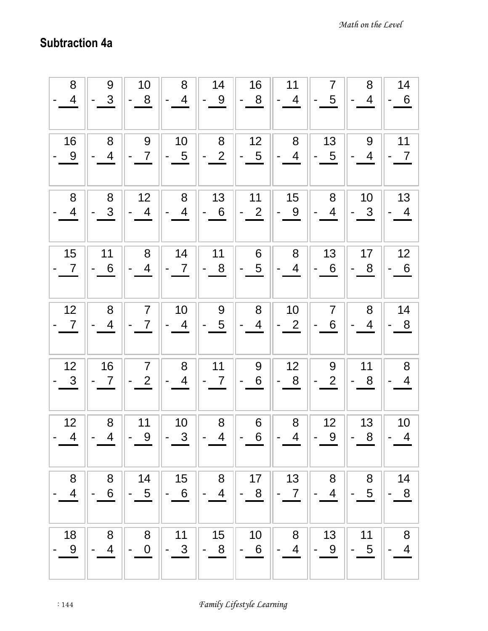## Subtraction 4a

| 8              | 9                        | 10                       | 8               | 14                       | 16              | 11                       | $\overline{7}$  | 8              | 14             |
|----------------|--------------------------|--------------------------|-----------------|--------------------------|-----------------|--------------------------|-----------------|----------------|----------------|
| $\overline{4}$ | 3                        | 8                        | 4               | 9                        | 8               | $\overline{4}$           | 5               | $\overline{4}$ | 6              |
| 16             | 8                        | $\overline{9}$           | 10              | 8                        | 12              | 8                        | 13              | 9              | 11             |
| 9              | $\overline{4}$           | $\overline{7}$           | $5\overline{)}$ | $\overline{2}$           | $5\overline{)}$ | 4                        | 5               | $\overline{4}$ | $\overline{7}$ |
| $\,8\,$        | 8                        | 12                       | 8               | 13                       | 11              | 15                       | 8               | 10             | 13             |
| $\overline{4}$ | 3                        | $\overline{4}$           | 4               | 6                        | $\overline{2}$  | 9                        | 4               | $\mathbf{3}$   | $\overline{4}$ |
| 15             | 11                       | 8                        | 14              | 11                       | 6               | 8                        | 13              | 17             | 12             |
| $\overline{7}$ | $6\phantom{1}6$          | $\overline{\mathcal{A}}$ | $\overline{7}$  | 8                        | $\overline{5}$  | $\overline{\mathcal{A}}$ | $6\phantom{1}6$ | 8              | 6              |
| 12             | $\bf 8$                  | $\overline{7}$           | 10              | $\boldsymbol{9}$         | 8               | 10                       | $\overline{7}$  | 8              | 14             |
| $\overline{7}$ | 4                        | $\overline{7}$           | $\overline{4}$  | 5                        | $\overline{4}$  | $\overline{2}$           | 6               | 4              | 8              |
| 12             | 16                       | $\overline{7}$           | $\bf 8$         | 11                       | 9               | 12                       | 9               | 11             | $\bf 8$        |
| $\mathbf{3}$   | $\overline{7}$           | $\overline{2}$           | $\overline{4}$  | 7                        | 6               | 8                        | $\overline{2}$  | 8              | $\overline{4}$ |
| 12             | 8                        | 11                       | 10              | 8                        | 6               | $\bf 8$                  | 12              | 13             | 10             |
| $\overline{4}$ | $\overline{\mathcal{A}}$ | $\overline{9}$           | $\mathfrak{S}$  | $\overline{4}$           | 6               | 4                        | 9               | 8              | $\overline{4}$ |
| $\,8\,$        | 8                        | 14                       | 15              | $\bf 8$                  | 17              | 13                       | $\bf 8$         | 8              | 14             |
| $\overline{4}$ | 6                        | $\sqrt{5}$               | $6\phantom{1}6$ | $\overline{\mathcal{A}}$ | 8               | $\overline{7}$           | $\overline{4}$  | $\overline{5}$ | $\bf 8$        |
| 18             | 8                        | 8                        | 11              | 15                       | 10              | 8                        | 13              | 11             | $\bf 8$        |
| 9              | 4                        | $\boldsymbol{0}$         | $\mathfrak{S}$  | $\boldsymbol{8}$         | $6\,$           | $\overline{\mathcal{A}}$ | 9               | 5              | 4              |